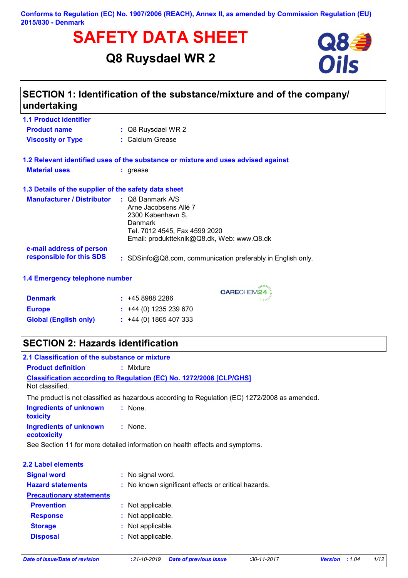#### **Conforms to Regulation (EC) No. 1907/2006 (REACH), Annex II, as amended by Commission Regulation (EU) 2015/830 - Denmark**

# **SAFETY DATA SHEET**<br> **Q84**<br>
Q8 Ruysdael WR 2

**Q8 Ruysdael WR 2**



# **SECTION 1: Identification of the substance/mixture and of the company/ undertaking**

| <b>1.1 Product identifier</b>                        |                                                                                                                                                                     |
|------------------------------------------------------|---------------------------------------------------------------------------------------------------------------------------------------------------------------------|
| <b>Product name</b>                                  | : Q8 Ruysdael WR 2                                                                                                                                                  |
| <b>Viscosity or Type</b>                             | : Calcium Grease                                                                                                                                                    |
|                                                      | 1.2 Relevant identified uses of the substance or mixture and uses advised against                                                                                   |
| <b>Material uses</b>                                 | : grease                                                                                                                                                            |
| 1.3 Details of the supplier of the safety data sheet |                                                                                                                                                                     |
| <b>Manufacturer / Distributor</b>                    | $\therefore$ Q8 Danmark A/S<br>Arne Jacobsens Allé 7<br>2300 København S.<br>Danmark<br>Tel. 7012 4545, Fax 4599 2020<br>Email: produktteknik@Q8.dk, Web: www.Q8.dk |
| e-mail address of person<br>responsible for this SDS | : SDSinfo@Q8.com, communication preferably in English only.                                                                                                         |

### **1.4 Emergency telephone number**

| <b>Denmark</b>               | : 4589882286                |
|------------------------------|-----------------------------|
| <b>Europe</b>                | $\div$ +44 (0) 1235 239 670 |
| <b>Global (English only)</b> | $\div$ +44 (0) 1865 407 333 |

# **SECTION 2: Hazards identification**

| 2.1 Classification of the substance or mixture |                                                                                               |
|------------------------------------------------|-----------------------------------------------------------------------------------------------|
| <b>Product definition</b>                      | : Mixture                                                                                     |
| Not classified.                                | <b>Classification according to Regulation (EC) No. 1272/2008 [CLP/GHS]</b>                    |
|                                                | The product is not classified as hazardous according to Regulation (EC) 1272/2008 as amended. |
| <b>Ingredients of unknown</b><br>toxicity      | : None.                                                                                       |
| <b>Ingredients of unknown</b><br>ecotoxicity   | $:$ None.                                                                                     |
|                                                | See Section 11 for more detailed information on health effects and symptoms.                  |
| <b>2.2 Label elements</b>                      |                                                                                               |
| <b>Signal word</b>                             | : No signal word.                                                                             |
| <b>Hazard statements</b>                       | : No known significant effects or critical hazards.                                           |
| <b>Precautionary statements</b>                |                                                                                               |
| <b>Prevention</b>                              | : Not applicable.                                                                             |
| <b>Response</b>                                | : Not applicable.                                                                             |
| <b>Storage</b>                                 | : Not applicable.                                                                             |
| <b>Disposal</b>                                | : Not applicable.                                                                             |
|                                                |                                                                                               |

CARECHEM24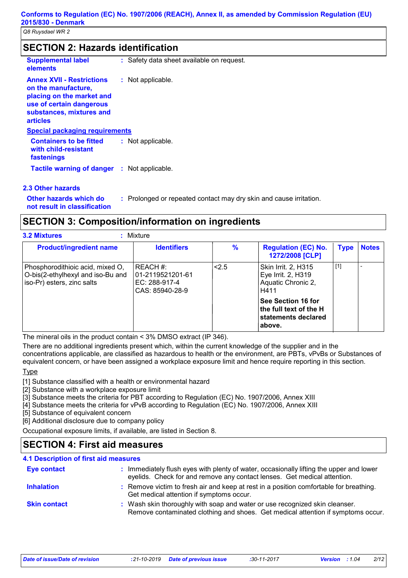| <b>SECTION 2: Hazards identification</b> |                                           |  |  |
|------------------------------------------|-------------------------------------------|--|--|
| <b>Supplemental label</b><br>elements    | : Safety data sheet available on request. |  |  |

| <b>Annex XVII - Restrictions</b><br>on the manufacture,<br>placing on the market and<br>use of certain dangerous<br>substances, mixtures and<br>articles | : Not applicable. |
|----------------------------------------------------------------------------------------------------------------------------------------------------------|-------------------|
| <b>Special packaging requirements</b>                                                                                                                    |                   |
| <b>Containers to be fitted</b><br>with child-resistant<br>fastenings                                                                                     | : Not applicable. |
| Tactile warning of danger : Not applicable.                                                                                                              |                   |

#### **2.3 Other hazards**

**Other hazards which do : not result in classification**

: Prolonged or repeated contact may dry skin and cause irritation.

## **SECTION 3: Composition/information on ingredients**

|  | <b>3.2 Mixtures</b> |
|--|---------------------|
|  |                     |

Г

| <b>3.2 Mixtures</b>            | Mixture            |  |
|--------------------------------|--------------------|--|
| <b>Product/ingredient name</b> | <b>Identifiers</b> |  |

| <b>Product/ingredient name</b>                                                                      | <b>Identifiers</b>                                                 | %   | <b>Regulation (EC) No.</b><br><b>1272/2008 [CLP]</b>                                | <b>Type</b> | <b>Notes</b> |
|-----------------------------------------------------------------------------------------------------|--------------------------------------------------------------------|-----|-------------------------------------------------------------------------------------|-------------|--------------|
| Phosphorodithioic acid, mixed O,<br>O-bis(2-ethylhexyl and iso-Bu and<br>iso-Pr) esters, zinc salts | REACH #:<br>  01-2119521201-61<br>EC: 288-917-4<br>CAS: 85940-28-9 | 2.5 | Skin Irrit. 2, H315<br>Eye Irrit. 2, H319<br>Aquatic Chronic 2,<br>H411             | $[1]$       |              |
|                                                                                                     |                                                                    |     | See Section 16 for<br>the full text of the H $\,$<br>∣statements declared<br>above. |             |              |

The mineral oils in the product contain < 3% DMSO extract (IP 346).

There are no additional ingredients present which, within the current knowledge of the supplier and in the concentrations applicable, are classified as hazardous to health or the environment, are PBTs, vPvBs or Substances of equivalent concern, or have been assigned a workplace exposure limit and hence require reporting in this section.

## **Type**

[1] Substance classified with a health or environmental hazard

[2] Substance with a workplace exposure limit

- [3] Substance meets the criteria for PBT according to Regulation (EC) No. 1907/2006, Annex XIII
- [4] Substance meets the criteria for vPvB according to Regulation (EC) No. 1907/2006, Annex XIII

[5] Substance of equivalent concern

[6] Additional disclosure due to company policy

Occupational exposure limits, if available, are listed in Section 8.

# **SECTION 4: First aid measures**

| <b>4.1 Description of first aid measures</b> |                                                                                                                                                                     |
|----------------------------------------------|---------------------------------------------------------------------------------------------------------------------------------------------------------------------|
| <b>Eye contact</b>                           | : Immediately flush eyes with plenty of water, occasionally lifting the upper and lower<br>eyelids. Check for and remove any contact lenses. Get medical attention. |
| <b>Inhalation</b>                            | : Remove victim to fresh air and keep at rest in a position comfortable for breathing.<br>Get medical attention if symptoms occur.                                  |
| <b>Skin contact</b>                          | : Wash skin thoroughly with soap and water or use recognized skin cleanser.<br>Remove contaminated clothing and shoes. Get medical attention if symptoms occur.     |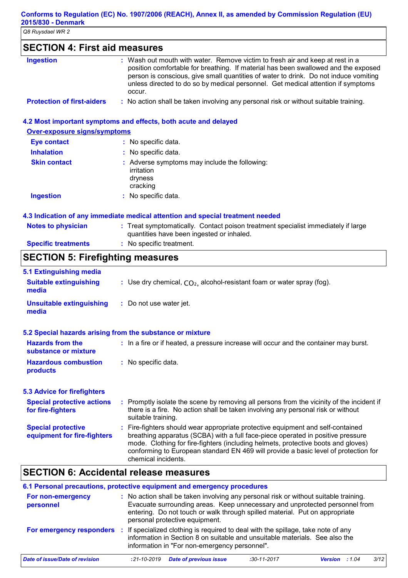# **SECTION 4: First aid measures**

| <b>Ingestion</b>                  | : Wash out mouth with water. Remove victim to fresh air and keep at rest in a<br>position comfortable for breathing. If material has been swallowed and the exposed<br>person is conscious, give small quantities of water to drink. Do not induce vomiting<br>unless directed to do so by medical personnel. Get medical attention if symptoms<br>occur. |
|-----------------------------------|-----------------------------------------------------------------------------------------------------------------------------------------------------------------------------------------------------------------------------------------------------------------------------------------------------------------------------------------------------------|
| <b>Protection of first-aiders</b> | : No action shall be taken involving any personal risk or without suitable training.                                                                                                                                                                                                                                                                      |

### **4.2 Most important symptoms and effects, both acute and delayed**

**Over-exposure signs/symptoms**

| <b>Eye contact</b>  | : No specific data.                                                                |
|---------------------|------------------------------------------------------------------------------------|
| <b>Inhalation</b>   | : No specific data.                                                                |
| <b>Skin contact</b> | : Adverse symptoms may include the following:<br>irritation<br>dryness<br>cracking |
| <b>Ingestion</b>    | : No specific data.                                                                |

#### **4.3 Indication of any immediate medical attention and special treatment needed**

| <b>Notes to physician</b>  | : Treat symptomatically. Contact poison treatment specialist immediately if large<br>quantities have been ingested or inhaled. |
|----------------------------|--------------------------------------------------------------------------------------------------------------------------------|
| <b>Specific treatments</b> | : No specific treatment.                                                                                                       |

# **SECTION 5: Firefighting measures**

| <b>5.1 Extinguishing media</b>                            |                                                                                                                                                                                                                                                                                                                                                                       |
|-----------------------------------------------------------|-----------------------------------------------------------------------------------------------------------------------------------------------------------------------------------------------------------------------------------------------------------------------------------------------------------------------------------------------------------------------|
| <b>Suitable extinguishing</b><br>media                    | : Use dry chemical, $CO2$ , alcohol-resistant foam or water spray (fog).                                                                                                                                                                                                                                                                                              |
| <b>Unsuitable extinguishing</b><br>media                  | : Do not use water jet.                                                                                                                                                                                                                                                                                                                                               |
| 5.2 Special hazards arising from the substance or mixture |                                                                                                                                                                                                                                                                                                                                                                       |
| <b>Hazards from the</b><br>substance or mixture           | : In a fire or if heated, a pressure increase will occur and the container may burst.                                                                                                                                                                                                                                                                                 |
| <b>Hazardous combustion</b><br>products                   | : No specific data.                                                                                                                                                                                                                                                                                                                                                   |
| <b>5.3 Advice for firefighters</b>                        |                                                                                                                                                                                                                                                                                                                                                                       |
| <b>Special protective actions</b><br>for fire-fighters    | : Promptly isolate the scene by removing all persons from the vicinity of the incident if<br>there is a fire. No action shall be taken involving any personal risk or without<br>suitable training.                                                                                                                                                                   |
| <b>Special protective</b><br>equipment for fire-fighters  | : Fire-fighters should wear appropriate protective equipment and self-contained<br>breathing apparatus (SCBA) with a full face-piece operated in positive pressure<br>mode. Clothing for fire-fighters (including helmets, protective boots and gloves)<br>conforming to European standard EN 469 will provide a basic level of protection for<br>chemical incidents. |

# **SECTION 6: Accidental release measures**

| 6.1 Personal precautions, protective equipment and emergency procedures |                                                                                                                                                                                                                                                                                      |               |                  |      |
|-------------------------------------------------------------------------|--------------------------------------------------------------------------------------------------------------------------------------------------------------------------------------------------------------------------------------------------------------------------------------|---------------|------------------|------|
| For non-emergency<br>personnel                                          | : No action shall be taken involving any personal risk or without suitable training.<br>Evacuate surrounding areas. Keep unnecessary and unprotected personnel from<br>entering. Do not touch or walk through spilled material. Put on appropriate<br>personal protective equipment. |               |                  |      |
| For emergency responders                                                | If specialized clothing is required to deal with the spillage, take note of any<br>information in Section 8 on suitable and unsuitable materials. See also the<br>information in "For non-emergency personnel".                                                                      |               |                  |      |
| Date of issue/Date of revision                                          | <b>Date of previous issue</b><br>$:21 - 10 - 2019$                                                                                                                                                                                                                                   | $:30-11-2017$ | :1.04<br>Version | 3/12 |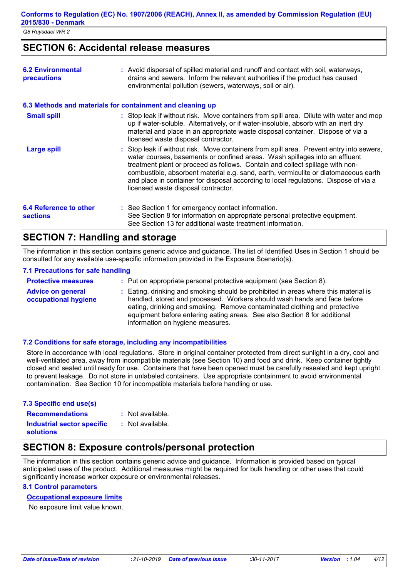## **SECTION 6: Accidental release measures**

| <b>6.2 Environmental</b><br><b>precautions</b> | : Avoid dispersal of spilled material and runoff and contact with soil, waterways,<br>drains and sewers. Inform the relevant authorities if the product has caused<br>environmental pollution (sewers, waterways, soil or air).                                                                                                                                                                                                                                                |
|------------------------------------------------|--------------------------------------------------------------------------------------------------------------------------------------------------------------------------------------------------------------------------------------------------------------------------------------------------------------------------------------------------------------------------------------------------------------------------------------------------------------------------------|
|                                                | 6.3 Methods and materials for containment and cleaning up                                                                                                                                                                                                                                                                                                                                                                                                                      |
| <b>Small spill</b>                             | : Stop leak if without risk. Move containers from spill area. Dilute with water and mop<br>up if water-soluble. Alternatively, or if water-insoluble, absorb with an inert dry<br>material and place in an appropriate waste disposal container. Dispose of via a<br>licensed waste disposal contractor.                                                                                                                                                                       |
| <b>Large spill</b>                             | : Stop leak if without risk. Move containers from spill area. Prevent entry into sewers,<br>water courses, basements or confined areas. Wash spillages into an effluent<br>treatment plant or proceed as follows. Contain and collect spillage with non-<br>combustible, absorbent material e.g. sand, earth, vermiculite or diatomaceous earth<br>and place in container for disposal according to local regulations. Dispose of via a<br>licensed waste disposal contractor. |
| 6.4 Reference to other<br><b>sections</b>      | : See Section 1 for emergency contact information.<br>See Section 8 for information on appropriate personal protective equipment.<br>See Section 13 for additional waste treatment information.                                                                                                                                                                                                                                                                                |

## **SECTION 7: Handling and storage**

The information in this section contains generic advice and guidance. The list of Identified Uses in Section 1 should be consulted for any available use-specific information provided in the Exposure Scenario(s).

#### **7.1 Precautions for safe handling**

| <b>Protective measures</b>                       | : Put on appropriate personal protective equipment (see Section 8).                                                                                                                                                                                                                                                                                           |
|--------------------------------------------------|---------------------------------------------------------------------------------------------------------------------------------------------------------------------------------------------------------------------------------------------------------------------------------------------------------------------------------------------------------------|
| <b>Advice on general</b><br>occupational hygiene | : Eating, drinking and smoking should be prohibited in areas where this material is<br>handled, stored and processed. Workers should wash hands and face before<br>eating, drinking and smoking. Remove contaminated clothing and protective<br>equipment before entering eating areas. See also Section 8 for additional<br>information on hygiene measures. |

#### **7.2 Conditions for safe storage, including any incompatibilities**

Store in accordance with local regulations. Store in original container protected from direct sunlight in a dry, cool and well-ventilated area, away from incompatible materials (see Section 10) and food and drink. Keep container tightly closed and sealed until ready for use. Containers that have been opened must be carefully resealed and kept upright to prevent leakage. Do not store in unlabeled containers. Use appropriate containment to avoid environmental contamination. See Section 10 for incompatible materials before handling or use.

| 7.3 Specific end use(s)           |                  |  |  |
|-----------------------------------|------------------|--|--|
| <b>Recommendations</b>            | : Not available. |  |  |
| <b>Industrial sector specific</b> | : Not available. |  |  |
| <b>solutions</b>                  |                  |  |  |

## **SECTION 8: Exposure controls/personal protection**

The information in this section contains generic advice and guidance. Information is provided based on typical anticipated uses of the product. Additional measures might be required for bulk handling or other uses that could significantly increase worker exposure or environmental releases.

#### **8.1 Control parameters**

#### **Occupational exposure limits**

No exposure limit value known.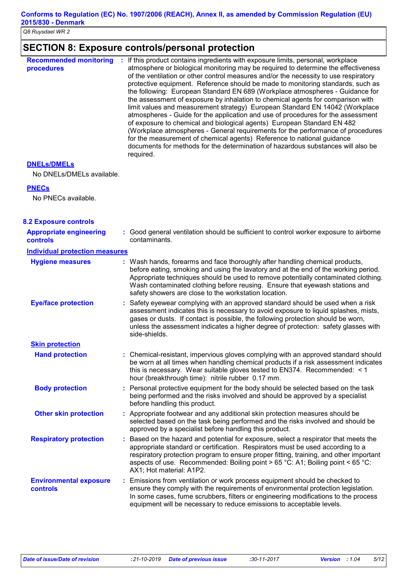# **SECTION 8: Exposure controls/personal protection**

| <b>Recommended monitoring</b><br>procedures | If this product contains ingredients with exposure limits, personal, workplace<br>÷.<br>atmosphere or biological monitoring may be required to determine the effectiveness<br>of the ventilation or other control measures and/or the necessity to use respiratory<br>protective equipment. Reference should be made to monitoring standards, such as<br>the following: European Standard EN 689 (Workplace atmospheres - Guidance for<br>the assessment of exposure by inhalation to chemical agents for comparison with<br>limit values and measurement strategy) European Standard EN 14042 (Workplace<br>atmospheres - Guide for the application and use of procedures for the assessment<br>of exposure to chemical and biological agents) European Standard EN 482<br>(Workplace atmospheres - General requirements for the performance of procedures<br>for the measurement of chemical agents) Reference to national guidance<br>documents for methods for the determination of hazardous substances will also be<br>required. |
|---------------------------------------------|----------------------------------------------------------------------------------------------------------------------------------------------------------------------------------------------------------------------------------------------------------------------------------------------------------------------------------------------------------------------------------------------------------------------------------------------------------------------------------------------------------------------------------------------------------------------------------------------------------------------------------------------------------------------------------------------------------------------------------------------------------------------------------------------------------------------------------------------------------------------------------------------------------------------------------------------------------------------------------------------------------------------------------------|
|---------------------------------------------|----------------------------------------------------------------------------------------------------------------------------------------------------------------------------------------------------------------------------------------------------------------------------------------------------------------------------------------------------------------------------------------------------------------------------------------------------------------------------------------------------------------------------------------------------------------------------------------------------------------------------------------------------------------------------------------------------------------------------------------------------------------------------------------------------------------------------------------------------------------------------------------------------------------------------------------------------------------------------------------------------------------------------------------|

#### **DNELs/DMELs**

No DNELs/DMELs available.

#### **PNECs**

No PNECs available.

| <b>8.2 Exposure controls</b>               |                                                                                                                                                                                                                                                                                                                                                                                                   |
|--------------------------------------------|---------------------------------------------------------------------------------------------------------------------------------------------------------------------------------------------------------------------------------------------------------------------------------------------------------------------------------------------------------------------------------------------------|
| <b>Appropriate engineering</b><br>controls | : Good general ventilation should be sufficient to control worker exposure to airborne<br>contaminants.                                                                                                                                                                                                                                                                                           |
| <b>Individual protection measures</b>      |                                                                                                                                                                                                                                                                                                                                                                                                   |
| <b>Hygiene measures</b>                    | : Wash hands, forearms and face thoroughly after handling chemical products,<br>before eating, smoking and using the lavatory and at the end of the working period.<br>Appropriate techniques should be used to remove potentially contaminated clothing.<br>Wash contaminated clothing before reusing. Ensure that eyewash stations and<br>safety showers are close to the workstation location. |
| <b>Eye/face protection</b>                 | Safety eyewear complying with an approved standard should be used when a risk<br>assessment indicates this is necessary to avoid exposure to liquid splashes, mists,<br>gases or dusts. If contact is possible, the following protection should be worn,<br>unless the assessment indicates a higher degree of protection: safety glasses with<br>side-shields.                                   |
| <b>Skin protection</b>                     |                                                                                                                                                                                                                                                                                                                                                                                                   |
| <b>Hand protection</b>                     | : Chemical-resistant, impervious gloves complying with an approved standard should<br>be worn at all times when handling chemical products if a risk assessment indicates<br>this is necessary. Wear suitable gloves tested to EN374. Recommended: < 1<br>hour (breakthrough time): nitrile rubber 0.17 mm.                                                                                       |
| <b>Body protection</b>                     | : Personal protective equipment for the body should be selected based on the task<br>being performed and the risks involved and should be approved by a specialist<br>before handling this product.                                                                                                                                                                                               |
| <b>Other skin protection</b>               | : Appropriate footwear and any additional skin protection measures should be<br>selected based on the task being performed and the risks involved and should be<br>approved by a specialist before handling this product.                                                                                                                                                                         |
| <b>Respiratory protection</b>              | : Based on the hazard and potential for exposure, select a respirator that meets the<br>appropriate standard or certification. Respirators must be used according to a<br>respiratory protection program to ensure proper fitting, training, and other important<br>aspects of use. Recommended: Boiling point > 65 °C: A1; Boiling point < 65 °C:<br>AX1; Hot material: A1P2.                    |
| <b>Environmental exposure</b><br>controls  | : Emissions from ventilation or work process equipment should be checked to<br>ensure they comply with the requirements of environmental protection legislation.<br>In some cases, fume scrubbers, filters or engineering modifications to the process<br>equipment will be necessary to reduce emissions to acceptable levels.                                                                   |
|                                            |                                                                                                                                                                                                                                                                                                                                                                                                   |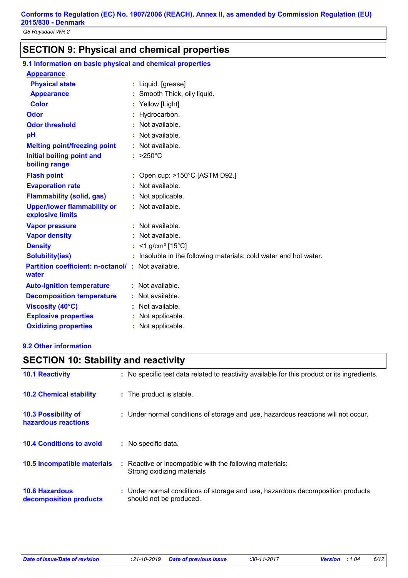# **SECTION 9: Physical and chemical properties**

| 9.1 Information on basic physical and chemical properties         |                                                                   |
|-------------------------------------------------------------------|-------------------------------------------------------------------|
| <b>Appearance</b>                                                 |                                                                   |
| <b>Physical state</b>                                             | : Liquid. [grease]                                                |
| <b>Appearance</b>                                                 | : Smooth Thick, oily liquid.                                      |
| <b>Color</b>                                                      | : Yellow [Light]                                                  |
| Odor                                                              | : Hydrocarbon.                                                    |
| <b>Odor threshold</b>                                             | : Not available.                                                  |
| pH                                                                | : Not available.                                                  |
| <b>Melting point/freezing point</b>                               | : Not available.                                                  |
| <b>Initial boiling point and</b><br>boiling range                 | $: >250^{\circ}C$                                                 |
| <b>Flash point</b>                                                | : Open cup: $>150^{\circ}$ C [ASTM D92.]                          |
| <b>Evaporation rate</b>                                           | : Not available.                                                  |
| <b>Flammability (solid, gas)</b>                                  | : Not applicable.                                                 |
| <b>Upper/lower flammability or</b><br>explosive limits            | : Not available.                                                  |
| <b>Vapor pressure</b>                                             | : Not available.                                                  |
| <b>Vapor density</b>                                              | : Not available.                                                  |
| <b>Density</b>                                                    | : $<$ 1 g/cm <sup>3</sup> [15°C]                                  |
| <b>Solubility(ies)</b>                                            | : Insoluble in the following materials: cold water and hot water. |
| <b>Partition coefficient: n-octanol/: Not available.</b><br>water |                                                                   |
| <b>Auto-ignition temperature</b>                                  | : Not available.                                                  |
| <b>Decomposition temperature</b>                                  | : Not available.                                                  |
| <b>Viscosity (40°C)</b>                                           | : Not available.                                                  |
| <b>Explosive properties</b>                                       | : Not applicable.                                                 |
| <b>Oxidizing properties</b>                                       | : Not applicable.                                                 |

#### **9.2 Other information**

| <b>SECTION 10: Stability and reactivity</b>       |                                                                                                           |  |
|---------------------------------------------------|-----------------------------------------------------------------------------------------------------------|--|
| <b>10.1 Reactivity</b>                            | : No specific test data related to reactivity available for this product or its ingredients.              |  |
| <b>10.2 Chemical stability</b>                    | : The product is stable.                                                                                  |  |
| <b>10.3 Possibility of</b><br>hazardous reactions | : Under normal conditions of storage and use, hazardous reactions will not occur.                         |  |
| <b>10.4 Conditions to avoid</b>                   | $:$ No specific data.                                                                                     |  |
| <b>10.5 Incompatible materials</b>                | : Reactive or incompatible with the following materials:<br>Strong oxidizing materials                    |  |
| <b>10.6 Hazardous</b><br>decomposition products   | : Under normal conditions of storage and use, hazardous decomposition products<br>should not be produced. |  |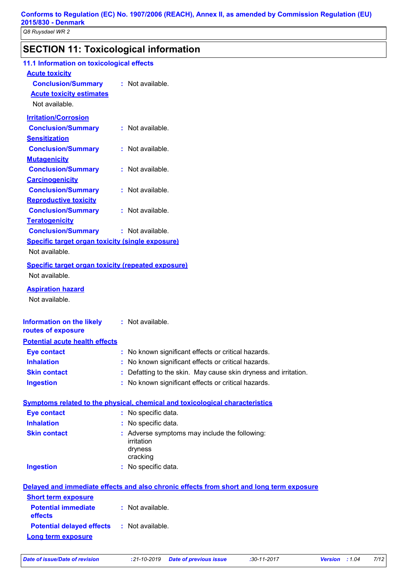# **SECTION 11: Toxicological information**

| 11.1 Information on toxicological effects               |                                                                                          |
|---------------------------------------------------------|------------------------------------------------------------------------------------------|
| <b>Acute toxicity</b>                                   |                                                                                          |
| <b>Conclusion/Summary</b>                               | : Not available.                                                                         |
| <b>Acute toxicity estimates</b><br>Not available.       |                                                                                          |
|                                                         |                                                                                          |
| <b>Irritation/Corrosion</b>                             |                                                                                          |
| <b>Conclusion/Summary</b>                               | : Not available.                                                                         |
| <b>Sensitization</b>                                    | : Not available.                                                                         |
| <b>Conclusion/Summary</b>                               |                                                                                          |
| <b>Mutagenicity</b><br><b>Conclusion/Summary</b>        | : Not available.                                                                         |
| <b>Carcinogenicity</b>                                  |                                                                                          |
| <b>Conclusion/Summary</b>                               | : Not available.                                                                         |
| <b>Reproductive toxicity</b>                            |                                                                                          |
| <b>Conclusion/Summary</b>                               | : Not available.                                                                         |
| <b>Teratogenicity</b>                                   |                                                                                          |
| <b>Conclusion/Summary</b>                               | : Not available.                                                                         |
| <b>Specific target organ toxicity (single exposure)</b> |                                                                                          |
| Not available.                                          |                                                                                          |
| Specific target organ toxicity (repeated exposure)      |                                                                                          |
| Not available.                                          |                                                                                          |
| <b>Aspiration hazard</b>                                |                                                                                          |
| Not available.                                          |                                                                                          |
| <b>Information on the likely</b><br>routes of exposure  | : Not available.                                                                         |
| <b>Potential acute health effects</b>                   |                                                                                          |
| <b>Eye contact</b>                                      | : No known significant effects or critical hazards.                                      |
| <b>Inhalation</b>                                       | : No known significant effects or critical hazards.                                      |
| <b>Skin contact</b>                                     | : Defatting to the skin. May cause skin dryness and irritation.                          |
| <b>Ingestion</b>                                        | : No known significant effects or critical hazards.                                      |
|                                                         | <b>Symptoms related to the physical, chemical and toxicological characteristics</b>      |
| <b>Eye contact</b>                                      | : No specific data.                                                                      |
| <b>Inhalation</b>                                       | : No specific data.                                                                      |
| <b>Skin contact</b>                                     | : Adverse symptoms may include the following:<br>irritation<br>dryness<br>cracking       |
| <b>Ingestion</b>                                        | : No specific data.                                                                      |
|                                                         | Delayed and immediate effects and also chronic effects from short and long term exposure |
| <b>Short term exposure</b>                              |                                                                                          |
| <b>Potential immediate</b><br>effects                   | : Not available.                                                                         |
| <b>Potential delayed effects</b>                        | : Not available.                                                                         |
| <b>Long term exposure</b>                               |                                                                                          |
|                                                         |                                                                                          |

*Date of issue/Date of revision* **:***21-10-2019 Date of previous issue :30-11-2017 Version : 1.04 7/12*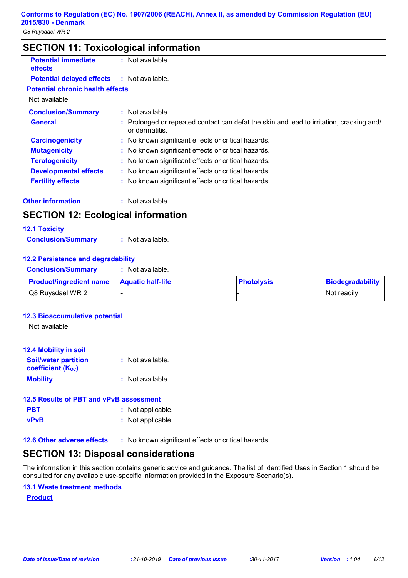| <b>SECTION 11: Toxicological information</b> |
|----------------------------------------------|
|----------------------------------------------|

| <b>Potential immediate</b><br><b>effects</b> | Not available.                                                                                           |  |
|----------------------------------------------|----------------------------------------------------------------------------------------------------------|--|
| <b>Potential delayed effects</b>             | : Not available.                                                                                         |  |
| <b>Potential chronic health effects</b>      |                                                                                                          |  |
| Not available.                               |                                                                                                          |  |
| <b>Conclusion/Summary</b>                    | $:$ Not available.                                                                                       |  |
| <b>General</b>                               | Prolonged or repeated contact can defat the skin and lead to irritation, cracking and/<br>or dermatitis. |  |
| <b>Carcinogenicity</b>                       | : No known significant effects or critical hazards.                                                      |  |
| <b>Mutagenicity</b>                          | : No known significant effects or critical hazards.                                                      |  |
| <b>Teratogenicity</b>                        | : No known significant effects or critical hazards.                                                      |  |
| <b>Developmental effects</b>                 | : No known significant effects or critical hazards.                                                      |  |
| <b>Fertility effects</b>                     | : No known significant effects or critical hazards.                                                      |  |
|                                              |                                                                                                          |  |

**Other information :**

: Not available.

# **SECTION 12: Ecological information**

| <b>12.1 Toxicity</b>      |                  |
|---------------------------|------------------|
| <b>Conclusion/Summary</b> | : Not available. |

## **12.2 Persistence and degradability**

| <b>Conclusion/Summary</b> | : Not available. |
|---------------------------|------------------|
|                           |                  |

| <b>Product/ingredient name</b> | <b>Aquatic half-life</b> | <b>Photolysis</b> | Biodegradability |
|--------------------------------|--------------------------|-------------------|------------------|
| Q8 Ruysdael WR 2               |                          |                   | INot readilv     |

## **12.3 Bioaccumulative potential**

Not available.

| <b>12.4 Mobility in soil</b>                            |                  |
|---------------------------------------------------------|------------------|
| <b>Soil/water partition</b><br><b>coefficient (Koc)</b> | : Not available. |
| <b>Mobility</b>                                         | : Not available. |

## **PBT :** Not applicable. **vPvB :** Not applicable. **12.5 Results of PBT and vPvB assessment**

## **12.6 Other adverse effects** : No known significant effects or critical hazards.

# **SECTION 13: Disposal considerations**

The information in this section contains generic advice and guidance. The list of Identified Uses in Section 1 should be consulted for any available use-specific information provided in the Exposure Scenario(s).

## **13.1 Waste treatment methods**

## **Product**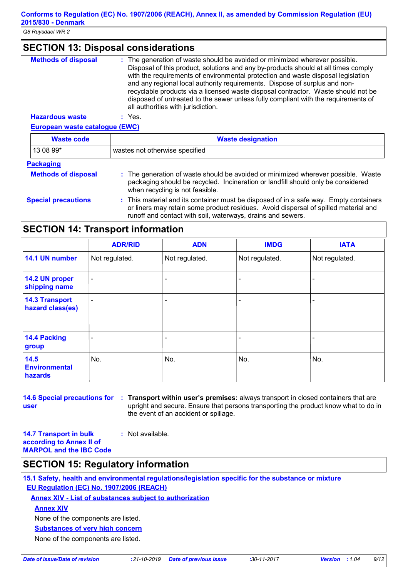# **SECTION 13: Disposal considerations**

| <b>Methods of disposal</b> | : The generation of waste should be avoided or minimized wherever possible.<br>Disposal of this product, solutions and any by-products should at all times comply<br>with the requirements of environmental protection and waste disposal legislation<br>and any regional local authority requirements. Dispose of surplus and non-<br>recyclable products via a licensed waste disposal contractor. Waste should not be |
|----------------------------|--------------------------------------------------------------------------------------------------------------------------------------------------------------------------------------------------------------------------------------------------------------------------------------------------------------------------------------------------------------------------------------------------------------------------|
|                            | disposed of untreated to the sewer unless fully compliant with the requirements of<br>all authorities with jurisdiction.                                                                                                                                                                                                                                                                                                 |
| ilahas dari secara te      | $\sim$ $\sqrt{22}$                                                                                                                                                                                                                                                                                                                                                                                                       |

**Hazardous waste :** Yes.

**European waste catalogue (EWC) Waste code Waste designation**

| $13089*$                   | wastes not otherwise specified                                                                                                                                                                                                              |
|----------------------------|---------------------------------------------------------------------------------------------------------------------------------------------------------------------------------------------------------------------------------------------|
| <b>Packaging</b>           |                                                                                                                                                                                                                                             |
| <b>Methods of disposal</b> | : The generation of waste should be avoided or minimized wherever possible. Waste<br>packaging should be recycled. Incineration or landfill should only be considered<br>when recycling is not feasible.                                    |
| <b>Special precautions</b> | : This material and its container must be disposed of in a safe way. Empty containers<br>or liners may retain some product residues. Avoid dispersal of spilled material and<br>runoff and contact with soil, waterways, drains and sewers. |

# **SECTION 14: Transport information**

|                                           | <b>ADR/RID</b> | <b>ADN</b>               | <b>IMDG</b>              | <b>IATA</b>    |
|-------------------------------------------|----------------|--------------------------|--------------------------|----------------|
| 14.1 UN number                            | Not regulated. | Not regulated.           | Not regulated.           | Not regulated. |
| 14.2 UN proper<br>shipping name           | $\blacksquare$ |                          |                          |                |
| <b>14.3 Transport</b><br>hazard class(es) | $\blacksquare$ | $\overline{\phantom{0}}$ | $\overline{\phantom{0}}$ |                |
| 14.4 Packing<br>group                     |                |                          |                          |                |
| 14.5<br><b>Environmental</b><br>hazards   | No.            | No.                      | No.                      | No.            |

**user**

**14.6 Special precautions for Transport within user's premises:** always transport in closed containers that are **:** upright and secure. Ensure that persons transporting the product know what to do in the event of an accident or spillage.

**14.7 Transport in bulk according to Annex II of MARPOL and the IBC Code :** Not available.

# **SECTION 15: Regulatory information**

**15.1 Safety, health and environmental regulations/legislation specific for the substance or mixture EU Regulation (EC) No. 1907/2006 (REACH)**

**Annex XIV - List of substances subject to authorization**

**Annex XIV**

None of the components are listed.

**Substances of very high concern**

None of the components are listed.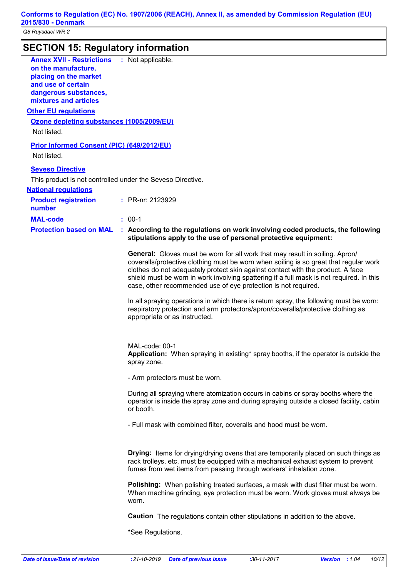| 2015/830 - Denmark<br>Q8 Ruysdael WR 2                                                                                                                   |                                                                                                                                                                                                                                                                                                                                                                                                                               |
|----------------------------------------------------------------------------------------------------------------------------------------------------------|-------------------------------------------------------------------------------------------------------------------------------------------------------------------------------------------------------------------------------------------------------------------------------------------------------------------------------------------------------------------------------------------------------------------------------|
| <b>SECTION 15: Regulatory information</b>                                                                                                                |                                                                                                                                                                                                                                                                                                                                                                                                                               |
| <b>Annex XVII - Restrictions</b><br>on the manufacture,<br>placing on the market<br>and use of certain<br>dangerous substances,<br>mixtures and articles | : Not applicable.                                                                                                                                                                                                                                                                                                                                                                                                             |
| <b>Other EU regulations</b>                                                                                                                              |                                                                                                                                                                                                                                                                                                                                                                                                                               |
| Ozone depleting substances (1005/2009/EU)<br>Not listed.                                                                                                 |                                                                                                                                                                                                                                                                                                                                                                                                                               |
| <b>Prior Informed Consent (PIC) (649/2012/EU)</b><br>Not listed.                                                                                         |                                                                                                                                                                                                                                                                                                                                                                                                                               |
| <b>Seveso Directive</b>                                                                                                                                  |                                                                                                                                                                                                                                                                                                                                                                                                                               |
| This product is not controlled under the Seveso Directive.<br><b>National requlations</b>                                                                |                                                                                                                                                                                                                                                                                                                                                                                                                               |
| <b>Product registration</b><br>number                                                                                                                    | : PR-nr: 2123929                                                                                                                                                                                                                                                                                                                                                                                                              |
| <b>MAL-code</b>                                                                                                                                          | $: 00-1$                                                                                                                                                                                                                                                                                                                                                                                                                      |
| <b>Protection based on MAL</b>                                                                                                                           | : According to the regulations on work involving coded products, the following<br>stipulations apply to the use of personal protective equipment:                                                                                                                                                                                                                                                                             |
|                                                                                                                                                          | <b>General:</b> Gloves must be worn for all work that may result in soiling. Apron/<br>coveralls/protective clothing must be worn when soiling is so great that regular work<br>clothes do not adequately protect skin against contact with the product. A face<br>shield must be worn in work involving spattering if a full mask is not required. In this<br>case, other recommended use of eye protection is not required. |
|                                                                                                                                                          | In all spraying operations in which there is return spray, the following must be worn:<br>respiratory protection and arm protectors/apron/coveralls/protective clothing as<br>appropriate or as instructed.                                                                                                                                                                                                                   |
|                                                                                                                                                          | MAL-code: 00-1<br>Application: When spraying in existing* spray booths, if the operator is outside the<br>spray zone.                                                                                                                                                                                                                                                                                                         |
|                                                                                                                                                          | - Arm protectors must be worn.                                                                                                                                                                                                                                                                                                                                                                                                |
|                                                                                                                                                          | During all spraying where atomization occurs in cabins or spray booths where the<br>operator is inside the spray zone and during spraying outside a closed facility, cabin<br>or booth.                                                                                                                                                                                                                                       |
|                                                                                                                                                          | - Full mask with combined filter, coveralls and hood must be worn.                                                                                                                                                                                                                                                                                                                                                            |
|                                                                                                                                                          | <b>Drying:</b> Items for drying/drying ovens that are temporarily placed on such things as<br>rack trolleys, etc. must be equipped with a mechanical exhaust system to prevent<br>fumes from wet items from passing through workers' inhalation zone.                                                                                                                                                                         |
|                                                                                                                                                          | <b>Polishing:</b> When polishing treated surfaces, a mask with dust filter must be worn.<br>When machine grinding, eye protection must be worn. Work gloves must always be<br>worn.                                                                                                                                                                                                                                           |
|                                                                                                                                                          | <b>Caution</b> The regulations contain other stipulations in addition to the above.                                                                                                                                                                                                                                                                                                                                           |
|                                                                                                                                                          | *See Regulations.                                                                                                                                                                                                                                                                                                                                                                                                             |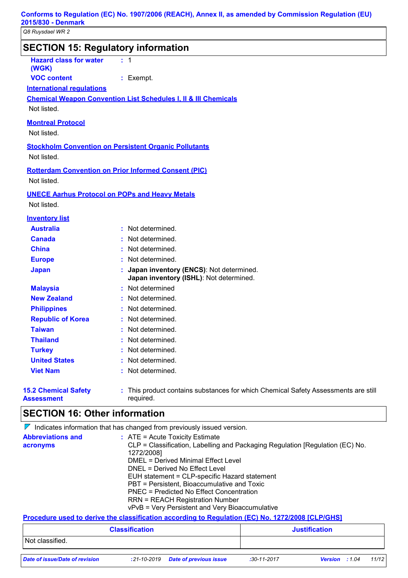| Q8 Ruysdael WR 2                                 |                                                                                                                  |
|--------------------------------------------------|------------------------------------------------------------------------------------------------------------------|
|                                                  | <b>SECTION 15: Regulatory information</b>                                                                        |
| <b>Hazard class for water</b><br>(WGK)           | $\pm$ 1                                                                                                          |
| <b>VOC content</b>                               | : Exempt.                                                                                                        |
| <b>International requlations</b>                 |                                                                                                                  |
| Not listed.                                      | <b>Chemical Weapon Convention List Schedules I, II &amp; III Chemicals</b>                                       |
| <b>Montreal Protocol</b><br>Not listed.          |                                                                                                                  |
| Not listed.                                      | <b>Stockholm Convention on Persistent Organic Pollutants</b>                                                     |
| Not listed.                                      | <b>Rotterdam Convention on Prior Informed Consent (PIC)</b>                                                      |
| Not listed.                                      | <b>UNECE Aarhus Protocol on POPs and Heavy Metals</b>                                                            |
| <b>Inventory list</b>                            |                                                                                                                  |
| <b>Australia</b>                                 | : Not determined.                                                                                                |
| <b>Canada</b>                                    | Not determined.                                                                                                  |
| <b>China</b>                                     | Not determined.                                                                                                  |
| <b>Europe</b>                                    | Not determined.                                                                                                  |
| <b>Japan</b>                                     | Japan inventory (ENCS): Not determined.<br>Japan inventory (ISHL): Not determined.                               |
| <b>Malaysia</b>                                  | Not determined                                                                                                   |
| <b>New Zealand</b>                               | Not determined.                                                                                                  |
| <b>Philippines</b>                               | Not determined.                                                                                                  |
| <b>Republic of Korea</b>                         | Not determined.                                                                                                  |
| <b>Taiwan</b>                                    | Not determined.                                                                                                  |
| <b>Thailand</b>                                  | Not determined.                                                                                                  |
| <b>Turkey</b>                                    | Not determined.                                                                                                  |
| <b>United States</b>                             | Not determined.                                                                                                  |
| <b>Viet Nam</b>                                  | Not determined.                                                                                                  |
| <b>15.2 Chemical Safety</b><br><b>Assessment</b> | : This product contains substances for which Chemical Safety Assessments are still<br>required.                  |
| <b>SECTION 16: Other information</b>             |                                                                                                                  |
|                                                  | $\nabla$ Indicates information that has changed from previously issued version.                                  |
| <b>Abbreviations and</b><br>acronyms             | : ATE = Acute Toxicity Estimate<br>CLP = Classification, Labelling and Packaging Regulation [Regulation (EC) No. |

| acronyms                                                                                         | CLP = Classification, Labelling and Packaging Regulation [Regulation (EC) No.           |                                                 |  |                      |  |  |
|--------------------------------------------------------------------------------------------------|-----------------------------------------------------------------------------------------|-------------------------------------------------|--|----------------------|--|--|
|                                                                                                  | 1272/2008]                                                                              |                                                 |  |                      |  |  |
|                                                                                                  |                                                                                         | DMEL = Derived Minimal Effect Level             |  |                      |  |  |
|                                                                                                  |                                                                                         | DNEL = Derived No Effect Level                  |  |                      |  |  |
|                                                                                                  |                                                                                         | EUH statement = CLP-specific Hazard statement   |  |                      |  |  |
|                                                                                                  | PBT = Persistent, Bioaccumulative and Toxic<br>PNEC = Predicted No Effect Concentration |                                                 |  |                      |  |  |
|                                                                                                  |                                                                                         |                                                 |  |                      |  |  |
|                                                                                                  |                                                                                         | <b>RRN = REACH Registration Number</b>          |  |                      |  |  |
|                                                                                                  |                                                                                         | vPvB = Very Persistent and Very Bioaccumulative |  |                      |  |  |
|                                                                                                  |                                                                                         |                                                 |  |                      |  |  |
| Procedure used to derive the classification according to Regulation (EC) No. 1272/2008 [CLP/GHS] |                                                                                         |                                                 |  |                      |  |  |
|                                                                                                  | <b>Classification</b>                                                                   |                                                 |  | <b>Justification</b> |  |  |
| Not classified.                                                                                  |                                                                                         |                                                 |  |                      |  |  |
|                                                                                                  |                                                                                         |                                                 |  |                      |  |  |